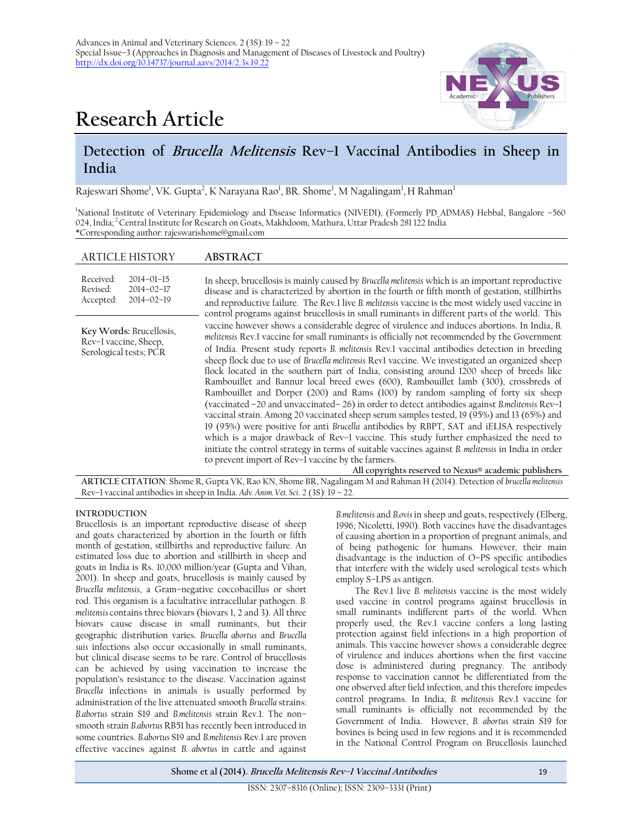

# **Research Article**

## **Detection of Brucella Melitensis Rev–1 Vaccinal Antibodies in Sheep in India**

Rajeswari Shome<sup>1</sup>, VK. Gupta<sup>2</sup>, K Narayana Rao<sup>1</sup>, BR. Shome<sup>1</sup>, M Nagalingam<sup>1</sup>, H Rahman<sup>1</sup>

<sup>1</sup>National Institute of Veterinary Epidemiology and Disease Informatics (NIVEDI), (Formerly PD\_ADMAS) Hebbal, Bangalore –560 024, India; <sup>2</sup>Central Institute for Research on Goats, Makhdoom, Mathura, Uttar Pradesh 281 122 India \*Corresponding author: rajeswarishome@gmail.com

#### ARTICLE HISTORY **ABSTRACT**

Received: Revised: Accepted: 2014–01–15 2014–02–17 2014–02–19

**Key Words:** Brucellosis, Rev–1 vaccine, Sheep, Serological tests; PCR

In sheep, brucellosis is mainly caused by *Brucella melitensis* which is an important reproductive disease and is characterized by abortion in the fourth or fifth month of gestation, stillbirths and reproductive failure. The Rev.1 live *B. melitensis* vaccine is the most widely used vaccine in control programs against brucellosis in small ruminants in different parts of the world. This vaccine however shows a considerable degree of virulence and induces abortions. In India, B*. melitensis* Rev.1 vaccine for small ruminants is officially not recommended by the Government of India. Present study reports *B. melitensis* Rev.1 vaccinal antibodies detection in breeding sheep flock due to use of *Brucella melitensis* Rev1 vaccine. We investigated an organized sheep flock located in the southern part of India, consisting around 1200 sheep of breeds like Rambouillet and Bannur local breed ewes (600), Rambouillet lamb (300), crossbreds of Rambouillet and Dorper (200) and Rams (100) by random sampling of forty six sheep (vaccinated –20 and unvaccinated– 26) in order to detect antibodies against *B.melitensis* Rev–1 vaccinal strain. Among 20 vaccinated sheep serum samples tested, 19 (95%) and 13 (65%) and 19 (95%) were positive for anti *Brucella* antibodies by RBPT, SAT and iELISA respectively which is a major drawback of Rev–1 vaccine. This study further emphasized the need to initiate the control strategy in terms of suitable vaccines against *B. melitensis* in India in order to prevent import of Rev–1 vaccine by the farmers.

**All copyrights reserved to Nexus® academic publishers ARTICLE CITATION**: Shome R, Gupta VK, Rao KN, Shome BR, Nagalingam M andRahman H (2014). Detection of *brucella melitensis* Rev–1 vaccinal antibodies in sheep in India. *Adv. Anim. Vet. Sci*. 2 (3S): 19 – 22.

#### **INTRODUCTION**

Brucellosis is an important reproductive disease of sheep and goats characterized by abortion in the fourth or fifth month of gestation, stillbirths and reproductive failure. An estimated loss due to abortion and stillbirth in sheep and goats in India is Rs. 10,000 million/year (Gupta and Vihan, 2001). In sheep and goats, brucellosis is mainly caused by *Brucella melitensis*, a Gram–negative coccobacillus or short rod. This organism is a facultative intracellular pathogen. *B. melitensis* contains three biovars (biovars 1, 2 and 3). All three biovars cause disease in small ruminants, but their geographic distribution varies. *Brucella abortus* and *Brucella suis* infections also occur occasionally in small ruminants, but clinical disease seems to be rare. Control of brucellosis can be achieved by using vaccination to increase the population's resistance to the disease. Vaccination against *Brucella* infections in animals is usually performed by administration of the live attenuated smooth *Brucella* strains: *B.abortus* strain S19 and *B.melitensis* strain Rev.1. The non– smooth strain *B.abortus* RB51 has recently been introduced in some countries. *B.abortus* S19 and *B.melitensis* Rev.1 are proven effective vaccines against *B. abortus* in cattle and against

*B.melitensis* and *B.ovis* in sheep and goats, respectively (Elberg, 1996; Nicoletti, 1990). Both vaccines have the disadvantages of causing abortion in a proportion of pregnant animals, and of being pathogenic for humans. However, their main disadvantage is the induction of O–PS specific antibodies that interfere with the widely used serological tests which employ S–LPS as antigen.

The Rev.1 live *B. melitensis* vaccine is the most widely used vaccine in control programs against brucellosis in small ruminants indifferent parts of the world. When properly used, the Rev.1 vaccine confers a long lasting protection against field infections in a high proportion of animals. This vaccine however shows a considerable degree of virulence and induces abortions when the first vaccine dose is administered during pregnancy. The antibody response to vaccination cannot be differentiated from the one observed after field infection, and this therefore impedes control programs. In India, *B. melitensis* Rev.1 vaccine for small ruminants is officially not recommended by the Government of India. However, *B. abortus* strain S19 for bovines is being used in few regions and it is recommended in the National Control Program on Brucellosis launched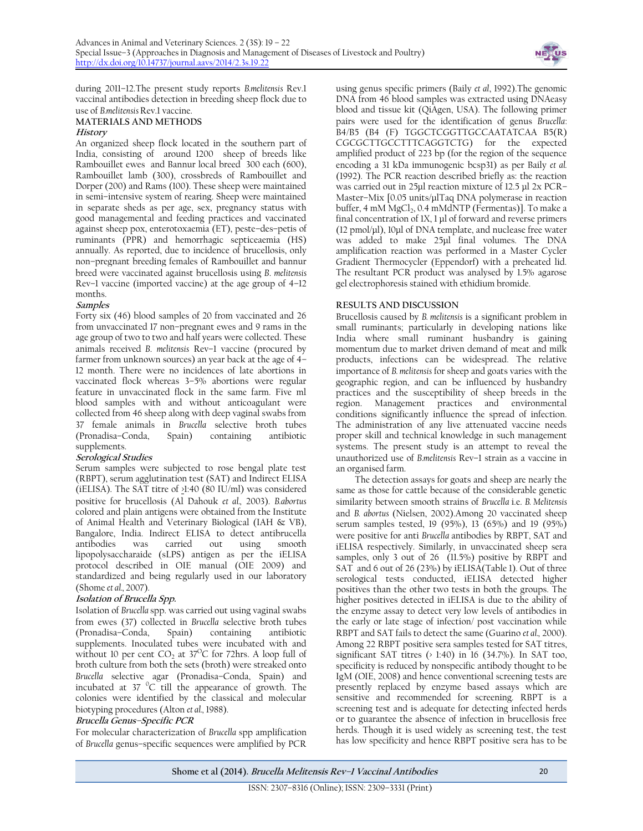

during 2011–12.The present study reports *B.melitensis* Rev.1 vaccinal antibodies detection in breeding sheep flock due to use of *B.melitensis* Rev.1 vaccine.

#### **MATERIALS AND METHODS History**

An organized sheep flock located in the southern part of India, consisting of around 1200 sheep of breeds like Rambouillet ewes and Bannur local breed 300 each (600), Rambouillet lamb (300), crossbreds of Rambouillet and Dorper (200) and Rams (100). These sheep were maintained in semi–intensive system of rearing. Sheep were maintained in separate sheds as per age, sex, pregnancy status with good managemental and feeding practices and vaccinated against sheep pox, enterotoxaemia (ET), peste–des–petis of ruminants (PPR) and hemorrhagic septiceaemia (HS) annually. As reported, due to incidence of brucellosis, only non–pregnant breeding females of Rambouillet and bannur breed were vaccinated against brucellosis using *B*. *melitensis* Rev–1 vaccine (imported vaccine) at the age group of 4–12 months.

## **Samples**

Forty six (46) blood samples of 20 from vaccinated and 26 from unvaccinated 17 non–pregnant ewes and 9 rams in the age group of two to two and half years were collected. These animals received *B*. *melitensis* Rev–1 vaccine (procured by farmer from unknown sources) an year back at the age of 4– 12 month. There were no incidences of late abortions in vaccinated flock whereas 3–5% abortions were regular feature in unvaccinated flock in the same farm. Five ml blood samples with and without anticoagulant were collected from 46 sheep along with deep vaginal swabs from 37 female animals in *Brucella* selective broth tubes (Pronadisa–Conda, Spain) containing antibiotic supplements.

## **Serological Studies**

Serum samples were subjected to rose bengal plate test (RBPT), serum agglutination test (SAT) and Indirect ELISA (iELISA). The SAT titre of  $\geq$ 1:40 (80 IU/ml) was considered positive for brucellosis (Al Dahouk *et al.,* 2003). *B.abortus*  colored and plain antigens were obtained from the Institute of Animal Health and Veterinary Biological (IAH & VB), Bangalore, India. Indirect ELISA to detect antibrucella was carried out using smooth lipopolysaccharaide (sLPS) antigen as per the iELISA protocol described in OIE manual (OIE 2009) and standardized and being regularly used in our laboratory (Shome *et al.,* 2007).

## **Isolation of Brucella Spp.**

Isolation of *Brucella* spp. was carried out using vaginal swabs from ewes (37) collected in *Brucella* selective broth tubes (Pronadisa–Conda, Spain) containing antibiotic supplements. Inoculated tubes were incubated with and without 10 per cent  $CO_2$  at 37<sup>O</sup>C for 72hrs. A loop full of broth culture from both the sets (broth) were streaked onto *Brucella* selective agar (Pronadisa–Conda, Spain) and  $int$ incubated at  $37^\circ$ C till the appearance of growth. The colonies were identified by the classical and molecular biotyping procedures (Alton *et al.,* 1988).

## **Brucella Genus–Specific PCR**

For molecular characterization of *Brucella* spp amplification of *Brucella* genus–specific sequences were amplified by PCR

using genus specific primers (Baily *et al*, 1992).The genomic DNA from 46 blood samples was extracted using DNAeasy blood and tissue kit (QiAgen, USA). The following primer pairs were used for the identification of genus *Brucella*: B4/B5 (B4 (F) TGGCTCGGTTGCCAATATCAA B5(R) CGCGCTTGCCTTTCAGGTCTG) for the expected amplified product of 223 bp (for the region of the sequence encoding a 31 kDa immunogenic bcsp31) as per Baily *et al.* (1992). The PCR reaction described briefly as: the reaction was carried out in 25μl reaction mixture of 12.5 μl 2x PCR– Master–Mix [0.05 units/μlTaq DNA polymerase in reaction buffer, 4 mM MgCl<sub>2</sub>, 0.4 mMdNTP (Fermentas)]. To make a final concentration of 1X, 1 μl of forward and reverse primers (12 pmol/μl), 10μl of DNA template, and nuclease free water was added to make 25μl final volumes. The DNA amplification reaction was performed in a Master Cycler Gradient Thermocycler (Eppendorf) with a preheated lid. The resultant PCR product was analysed by 1.5% agarose gel electrophoresis stained with ethidium bromide.

## **RESULTS AND DISCUSSION**

Brucellosis caused by *B. melitensis* is a significant problem in small ruminants; particularly in developing nations like India where small ruminant husbandry is gaining momentum due to market driven demand of meat and milk products, infections can be widespread. The relative importance of *B. melitensis* for sheep and goats varies with the geographic region, and can be influenced by husbandry practices and the susceptibility of sheep breeds in the region. Management practices and environmental conditions significantly influence the spread of infection. The administration of any live attenuated vaccine needs proper skill and technical knowledge in such management systems. The present study is an attempt to reveal the unauthorized use of *B.melitensis* Rev–1 strain as a vaccine in an organised farm.

The detection assays for goats and sheep are nearly the same as those for cattle because of the considerable genetic similarity between smooth strains of *Brucella* i.e. *B. Melitensis*  and *B. abortus* (Nielsen, 2002).Among 20 vaccinated sheep serum samples tested, 19 (95%), 13 (65%) and 19 (95%) were positive for anti *Brucella* antibodies by RBPT, SAT and iELISA respectively. Similarly, in unvaccinated sheep sera samples, only 3 out of 26 (11.5%) positive by RBPT and SAT and 6 out of 26 (23%) by iELISA(Table 1). Out of three serological tests conducted, iELISA detected higher positives than the other two tests in both the groups. The higher positives detected in iELISA is due to the ability of the enzyme assay to detect very low levels of antibodies in the early or late stage of infection/ post vaccination while RBPT and SAT fails to detect the same (Guarino *et al.,* 2000). Among 22 RBPT positive sera samples tested for SAT titres, significant SAT titres  $($  1:40) in 16 (34.7%). In SAT too, specificity is reduced by nonspecific antibody thought to be IgM (OIE, 2008) and hence conventional screening tests are presently replaced by enzyme based assays which are sensitive and recommended for screening. RBPT is a screening test and is adequate for detecting infected herds or to guarantee the absence of infection in brucellosis free herds. Though it is used widely as screening test, the test has low specificity and hence RBPT positive sera has to be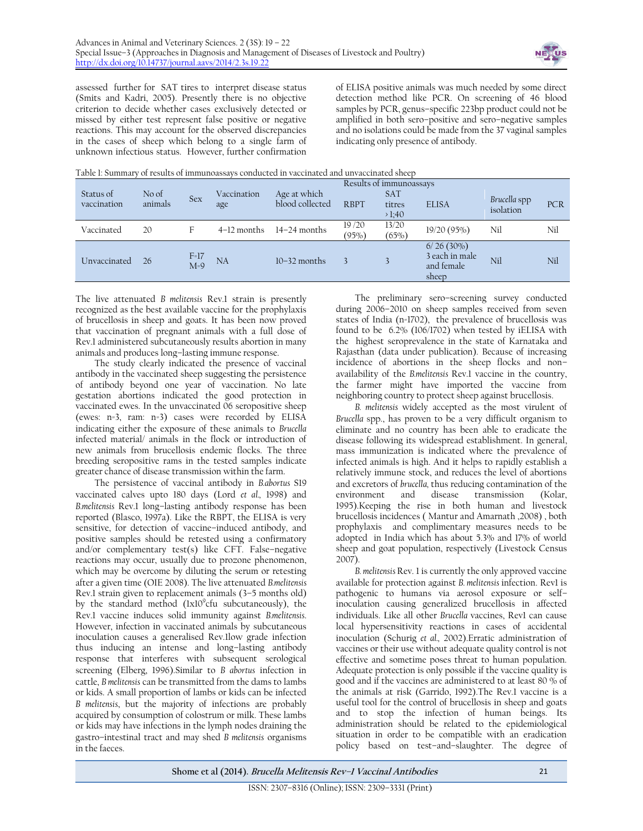

assessed further for SAT tires to interpret disease status (Smits and Kadri, 2005). Presently there is no objective criterion to decide whether cases exclusively detected or missed by either test represent false positive or negative reactions. This may account for the observed discrepancies in the cases of sheep which belong to a single farm of unknown infectious status. However, further confirmation

of ELISA positive animals was much needed by some direct detection method like PCR. On screening of 46 blood samples by PCR, genus-specific 223bp product could not be amplified in both sero–positive and sero–negative samples and no isolations could be made from the 37 vaginal samples indicating only presence of antibody.

| Status of<br>vaccination | No of<br>animals | <b>Sex</b>      | Vaccination<br>age | Age at which<br>blood collected | <b>RBPT</b>    | <b>SAT</b><br>titres<br>>1:40 | <b>ELISA</b>                                          | Brucella spp<br>isolation | <b>PCR</b> |
|--------------------------|------------------|-----------------|--------------------|---------------------------------|----------------|-------------------------------|-------------------------------------------------------|---------------------------|------------|
| Vaccinated               | 20               | F               | $4-12$ months      | 14–24 months                    | 19/20<br>(95%) | 13/20<br>(65%                 | 19/20(95%)                                            | Nil                       | Nil        |
| Unvaccinated             | 26               | $F=17$<br>$M=9$ | NA                 | $10-32$ months                  |                |                               | $6/26(30\%)$<br>3 each in male<br>and female<br>sheep | Nil                       | Nil        |

The live attenuated *B melitensis* Rev.1 strain is presently recognized as the best available vaccine for the prophylaxis of brucellosis in sheep and goats. It has been now proved that vaccination of pregnant animals with a full dose of Rev.1 administered subcutaneously results abortion in many animals and produces long–lasting immune response.

The study clearly indicated the presence of vaccinal antibody in the vaccinated sheep suggesting the persistence of antibody beyond one year of vaccination. No late gestation abortions indicated the good protection in vaccinated ewes. In the unvaccinated 06 seropositive sheep (ewes: n=3, ram: n=3) cases were recorded by ELISA indicating either the exposure of these animals to *Brucella*  infected material/ animals in the flock or introduction of new animals from brucellosis endemic flocks. The three breeding seropositive rams in the tested samples indicate greater chance of disease transmission within the farm.

The persistence of vaccinal antibody in *B.abortus* S19 vaccinated calves upto 180 days (Lord *et al.,* 1998) and *B.melitensis* Rev.1 long–lasting antibody response has been reported (Blasco, 1997a). Like the RBPT, the ELISA is very sensitive, for detection of vaccine–induced antibody, and positive samples should be retested using a confirmatory and/or complementary test(s) like CFT. False–negative reactions may occur, usually due to prozone phenomenon, which may be overcome by diluting the serum or retesting after a given time (OIE 2008). The live attenuated *B.melitensis*  Rev.1 strain given to replacement animals (3–5 months old) by the standard method (1x10<sup>9</sup>cfu subcutaneously), the Rev.1 vaccine induces solid immunity against *B.melitensis*. However, infection in vaccinated animals by subcutaneous inoculation causes a generalised Rev.1low grade infection thus inducing an intense and long–lasting antibody response that interferes with subsequent serological screening (Elberg, 1996).Similar to *B abortus* infection in cattle, *B melitensis* can be transmitted from the dams to lambs or kids. A small proportion of lambs or kids can be infected *B melitensis*, but the majority of infections are probably acquired by consumption of colostrum or milk. These lambs or kids may have infections in the lymph nodes draining the gastro–intestinal tract and may shed *B melitensis* organisms in the faeces.

The preliminary sero–screening survey conducted during 2006–2010 on sheep samples received from seven states of India (n=1702), the prevalence of brucellosis was found to be 6.2% (106/1702) when tested by iELISA with the highest seroprevalence in the state of Karnataka and Rajasthan (data under publication). Because of increasing incidence of abortions in the sheep flocks and non– availability of the *B.melitensis* Rev.1 vaccine in the country, the farmer might have imported the vaccine from neighboring country to protect sheep against brucellosis.

*B. melitensis* widely accepted as the most virulent of *Brucella* spp., has proven to be a very difficult organism to eliminate and no country has been able to eradicate the disease following its widespread establishment. In general, mass immunization is indicated where the prevalence of infected animals is high. And it helps to rapidly establish a relatively immune stock, and reduces the level of abortions and excretors of *brucella,* thus reducing contamination of the environment and disease transmission (Kolar, 1995).Keeping the rise in both human and livestock brucellosis incidences ( Mantur and Amarnath ,2008) , both prophylaxis and complimentary measures needs to be adopted in India which has about 5.3% and 17% of world sheep and goat population, respectively (Livestock Census 2007).

*B. melitensis* Rev. 1 is currently the only approved vaccine available for protection against *B. melitensis* infection. Rev1 is pathogenic to humans via aerosol exposure or self– inoculation causing generalized brucellosis in affected individuals. Like all other *Brucella* vaccines, Rev1 can cause local hypersensitivity reactions in cases of accidental inoculation (Schurig *et al.,* 2002).Erratic administration of vaccines or their use without adequate quality control is not effective and sometime poses threat to human population. Adequate protection is only possible if the vaccine quality is good and if the vaccines are administered to at least 80 % of the animals at risk (Garrido, 1992).The Rev.1 vaccine is a useful tool for the control of brucellosis in sheep and goats and to stop the infection of human beings. Its administration should be related to the epidemiological situation in order to be compatible with an eradication policy based on test–and–slaughter. The degree of

**Shome et al (2014). Brucella Melitensis Rev–1 Vaccinal Antibodies** 21